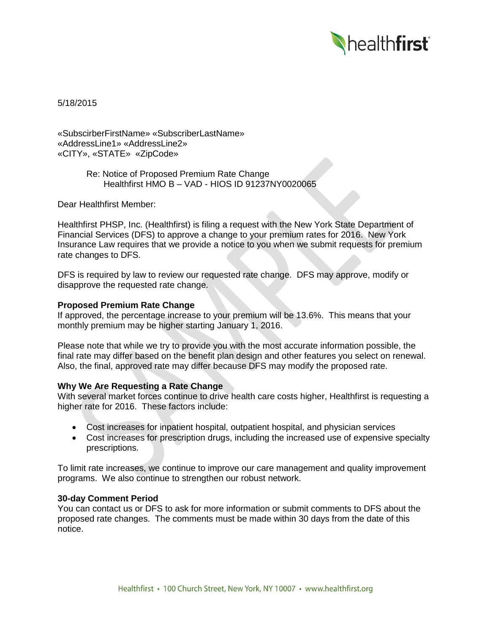

5/18/2015

«SubscirberFirstName» «SubscriberLastName» «AddressLine1» «AddressLine2» «CITY», «STATE» «ZipCode»

> Re: Notice of Proposed Premium Rate Change Healthfirst HMO B – VAD - HIOS ID 91237NY0020065

Dear Healthfirst Member:

Healthfirst PHSP, Inc. (Healthfirst) is filing a request with the New York State Department of Financial Services (DFS) to approve a change to your premium rates for 2016. New York Insurance Law requires that we provide a notice to you when we submit requests for premium rate changes to DFS.

DFS is required by law to review our requested rate change. DFS may approve, modify or disapprove the requested rate change.

## **Proposed Premium Rate Change**

If approved, the percentage increase to your premium will be 13.6%. This means that your monthly premium may be higher starting January 1, 2016.

Please note that while we try to provide you with the most accurate information possible, the final rate may differ based on the benefit plan design and other features you select on renewal. Also, the final, approved rate may differ because DFS may modify the proposed rate.

# **Why We Are Requesting a Rate Change**

With several market forces continue to drive health care costs higher, Healthfirst is requesting a higher rate for 2016. These factors include:

- Cost increases for inpatient hospital, outpatient hospital, and physician services
- Cost increases for prescription drugs, including the increased use of expensive specialty prescriptions.

To limit rate increases, we continue to improve our care management and quality improvement programs. We also continue to strengthen our robust network.

#### **30-day Comment Period**

You can contact us or DFS to ask for more information or submit comments to DFS about the proposed rate changes. The comments must be made within 30 days from the date of this notice.